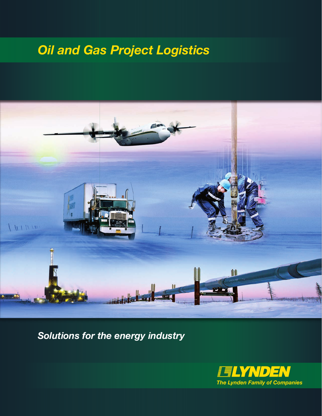# *Oil and Gas Project Logistics*



*Solutions for the energy industry*